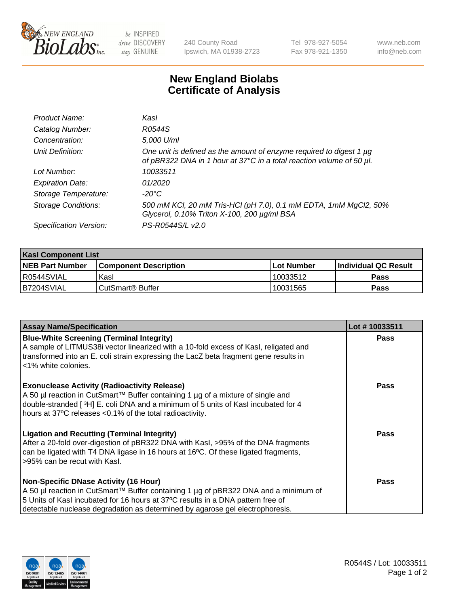

be INSPIRED drive DISCOVERY stay GENUINE

240 County Road Ipswich, MA 01938-2723 Tel 978-927-5054 Fax 978-921-1350

www.neb.com info@neb.com

## **New England Biolabs Certificate of Analysis**

| Product Name:              | Kasl                                                                                                                                        |
|----------------------------|---------------------------------------------------------------------------------------------------------------------------------------------|
| Catalog Number:            | R0544S                                                                                                                                      |
| Concentration:             | 5,000 U/ml                                                                                                                                  |
| Unit Definition:           | One unit is defined as the amount of enzyme required to digest 1 µg<br>of pBR322 DNA in 1 hour at 37°C in a total reaction volume of 50 µl. |
| Lot Number:                | 10033511                                                                                                                                    |
| <b>Expiration Date:</b>    | 01/2020                                                                                                                                     |
| Storage Temperature:       | -20°C                                                                                                                                       |
| <b>Storage Conditions:</b> | 500 mM KCl, 20 mM Tris-HCl (pH 7.0), 0.1 mM EDTA, 1mM MgCl2, 50%<br>Glycerol, 0.10% Triton X-100, 200 µg/ml BSA                             |
| Specification Version:     | PS-R0544S/L v2.0                                                                                                                            |

| <b>Kasl Component List</b> |                              |              |                             |  |  |
|----------------------------|------------------------------|--------------|-----------------------------|--|--|
| <b>NEB Part Number</b>     | <b>Component Description</b> | l Lot Number | <b>Individual QC Result</b> |  |  |
| I R0544SVIAL               | Kasl                         | 10033512     | <b>Pass</b>                 |  |  |
| B7204SVIAL                 | l CutSmart® Buffer           | 10031565     | Pass                        |  |  |

| <b>Assay Name/Specification</b>                                                                                                                                                                                                                                                                         | Lot #10033511 |
|---------------------------------------------------------------------------------------------------------------------------------------------------------------------------------------------------------------------------------------------------------------------------------------------------------|---------------|
| <b>Blue-White Screening (Terminal Integrity)</b><br>A sample of LITMUS38i vector linearized with a 10-fold excess of Kasl, religated and<br>transformed into an E. coli strain expressing the LacZ beta fragment gene results in<br><1% white colonies.                                                 | <b>Pass</b>   |
| <b>Exonuclease Activity (Radioactivity Release)</b><br>A 50 µl reaction in CutSmart™ Buffer containing 1 µg of a mixture of single and<br>double-stranded [3H] E. coli DNA and a minimum of 5 units of Kasl incubated for 4<br>hours at 37°C releases <0.1% of the total radioactivity.                 | <b>Pass</b>   |
| <b>Ligation and Recutting (Terminal Integrity)</b><br>After a 20-fold over-digestion of pBR322 DNA with Kasl, >95% of the DNA fragments<br>can be ligated with T4 DNA ligase in 16 hours at 16°C. Of these ligated fragments,<br>>95% can be recut with Kasl.                                           | <b>Pass</b>   |
| <b>Non-Specific DNase Activity (16 Hour)</b><br>A 50 µl reaction in CutSmart™ Buffer containing 1 µg of pBR322 DNA and a minimum of<br>5 Units of Kasl incubated for 16 hours at 37°C results in a DNA pattern free of<br>detectable nuclease degradation as determined by agarose gel electrophoresis. | Pass          |